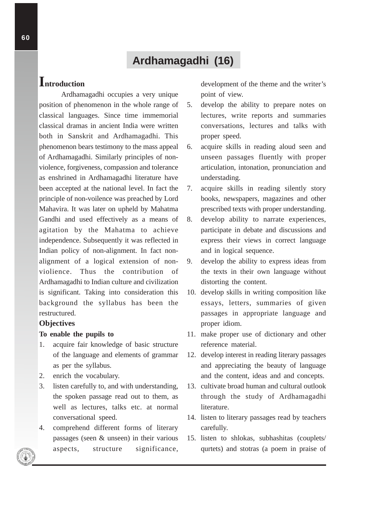# **Ardhamagadhi (16)**

# **Introduction**

Ardhamagadhi occupies a very unique position of phenomenon in the whole range of classical languages. Since time immemorial classical dramas in ancient India were written both in Sanskrit and Ardhamagadhi. This phenomenon bears testimony to the mass appeal of Ardhamagadhi. Similarly principles of nonviolence, forgiveness, compassion and tolerance as enshrined in Ardhamagadhi literature have been accepted at the national level. In fact the principle of non-voilence was preached by Lord Mahavira. It was later on upheld by Mahatma Gandhi and used effectively as a means of agitation by the Mahatma to achieve independence. Subsequently it was reflected in Indian policy of non-alignment. In fact nonalignment of a logical extension of nonviolience. Thus the contribution of Ardhamagadhi to Indian culture and civilization is significant. Taking into consideration this background the syllabus has been the restructured.

### **Objectives**

### **To enable the pupils to**

- 1. acquire fair knowledge of basic structure of the language and elements of grammar as per the syllabus.
- 2. enrich the vocabulary.
- 3. listen carefully to, and with understanding, the spoken passage read out to them, as well as lectures, talks etc. at normal conversational speed.
- 4. comprehend different forms of literary passages (seen & unseen) in their various aspects, structure significance,

development of the theme and the writer's point of view.

- 5. develop the ability to prepare notes on lectures, write reports and summaries conversations, lectures and talks with proper speed.
- 6. acquire skills in reading aloud seen and unseen passages fluently with proper articulation, intonation, pronunciation and understading.
- 7. acquire skills in reading silently story books, newspapers, magazines and other prescribed texts with proper understanding.
- 8. develop ability to narrate experiences, participate in debate and discussions and express their views in correct language and in logical sequence.
- 9. develop the ability to express ideas from the texts in their own language without distorting the content.
- 10. develop skills in writing composition like essays, letters, summaries of given passages in appropriate language and proper idiom.
- 11. make proper use of dictionary and other reference material.
- 12. develop interest in reading literary passages and appreciating the beauty of language and the content, ideas and and concepts.
- 13. cultivate broad human and cultural outlook through the study of Ardhamagadhi literature.
- 14. listen to literary passages read by teachers carefully.
- 15. listen to shlokas, subhashitas (couplets/ qurtets) and stotras (a poem in praise of